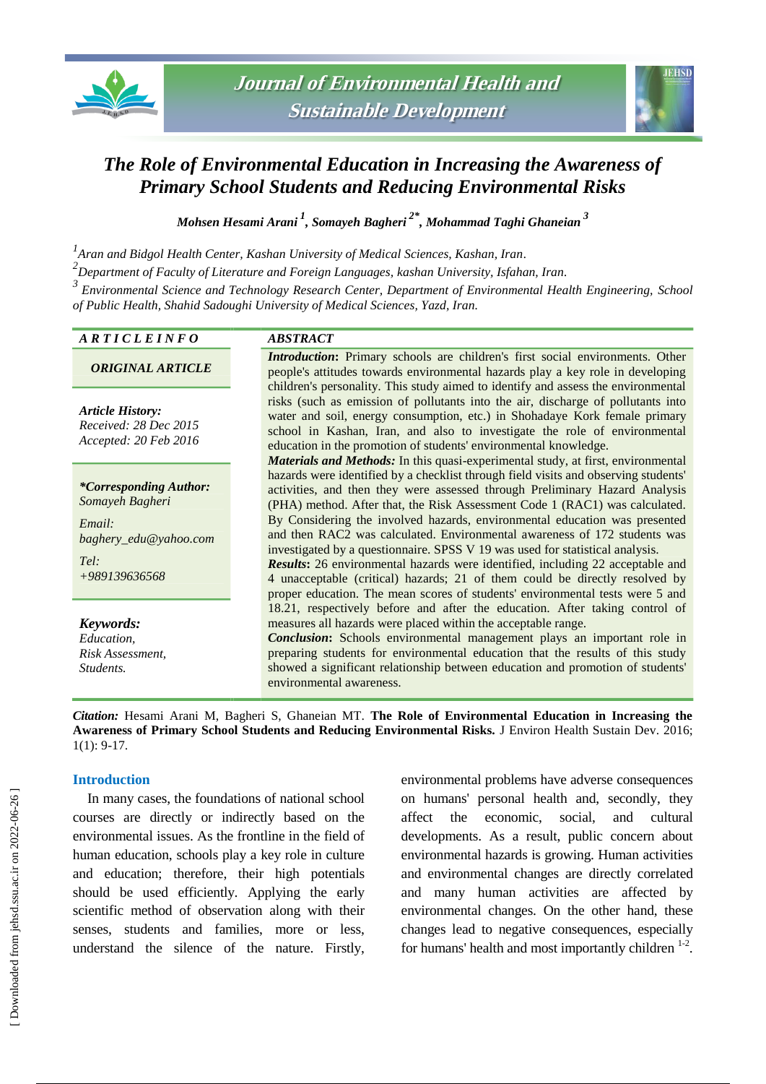



# *The Role of Environmental Education in Increasing the Awareness of Primary School Students and Reducing Environmental Risks*

*Mohsen Hesami Arani <sup>1</sup> , Somayeh Bagheri 2\* , Mohammad Taghi Ghaneian <sup>3</sup>*

*1 Aran and Bidgol Health Center, Kashan University of Medical Sciences, Kashan, Iran.*

*2 Department of Faculty of Literature and Foreign Languages, kashan University, Isfahan, Iran.*

*<sup>3</sup>Environmental Science and Technology Research Center, Department of Environmental Health Engineering, School of Public Health, Shahid Sadoughi University of Medical Sciences, Yazd, Iran.*

# *A R T I C L E I N F O ABSTRACT*

*ORIGINAL ARTICLE*

*Article History: Received: 28 Dec 2015 Accepted: 20 Feb 2016*

*\*Corresponding Author: Somayeh Bagheri*

*Email: baghery\_edu@yahoo.com Tel:*

*+989139636568*

*Keywords: Education, Risk Assessment, Students.*

*Introduction***:** Primary schools are children's first social environments. Other people's attitudes towards environmental hazards play a key role in developing children's personality. This study aimed to identify and assess the environmental risks (such as emission of pollutants into the air, discharge of pollutants into water and soil, energy consumption, etc.) in Shohadaye Kork female primary school in Kashan, Iran, and also to investigate the role of environmental education in the promotion of students' environmental knowledge.

*Materials and Methods:* In this quasi-experimental study, at first, environmental hazards were identified by a checklist through field visits and observing students' activities, and then they were assessed through Preliminary Hazard Analysis (PHA) method. After that, the Risk Assessment Code 1 (RAC1) was calculated. By Considering the involved hazards, environmental education was presented and then RAC2 was calculated. Environmental awareness of 172 students was investigated by a questionnaire. SPSS V 19 was used for statistical analysis.

*Results***:** 26 environmental hazards were identified, including 22 acceptable and 4 unacceptable (critical) hazards; 21 of them could be directly resolved by proper education. The mean scores of students' environmental tests were 5 and 18.21, respectively before and after the education. After taking control of measures all hazards were placed within the acceptable range.

*Conclusion***:** Schools environmental management plays an important role in preparing students for environmental education that the results of this study showed a significant relationship between education and promotion of students' environmental awareness.

*Citation:* Hesami Arani M, Bagheri S, Ghaneian MT. **The Role of Environmental Education in Increasing the Awareness of Primary School Students and Reducing Environmental Risks.** J Environ Health Sustain Dev. 2016; 1(1): 9-17.

#### **Introduction**

In many cases, the foundations of national school courses are directly or indirectly based on the environmental issues. As the frontline in the field of human education, schools play a key role in culture and education; therefore, their high potentials should be used efficiently. Applying the early scientific method of observation along with their senses, students and families, more or less, understand the silence of the nature. Firstly, environmental problems have adverse consequences on humans' personal health and, secondly, they affect the economic, social, and cultural developments. As a result, public concern about environmental hazards is growing. Human activities and environmental changes are directly correlated and many human activities are affected by environmental changes. On the other hand, these changes lead to negative consequences, especially for humans' health and most importantly children  $1-2$ .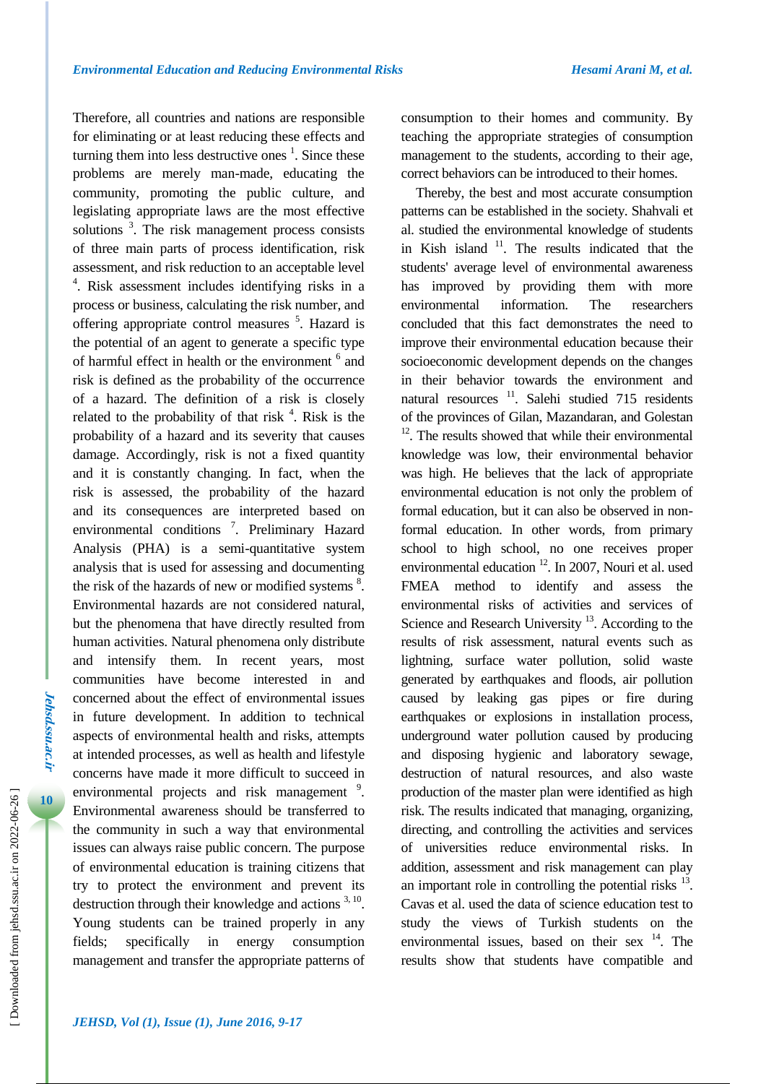Therefore, all countries and nations are responsible for eliminating or at least reducing these effects and turning them into less destructive ones  $<sup>1</sup>$ . Since these</sup> problems are merely man-made, educating the community, promoting the public culture, and legislating appropriate laws are the most effective solutions  $3$ . The risk management process consists of three main parts of process identification, risk assessment, and risk reduction to an acceptable level 4 . Risk assessment includes identifying risks in a process or business, calculating the risk number, and offering appropriate control measures <sup>5</sup>. Hazard is the potential of an agent to generate a specific type of harmful effect in health or the environment <sup>6</sup> and risk is defined as the probability of the occurrence of a hazard. The definition of a risk is closely related to the probability of that risk  $<sup>4</sup>$ . Risk is the</sup> probability of a hazard and its severity that causes damage. Accordingly, risk is not a fixed quantity and it is constantly changing. In fact, when the risk is assessed, the probability of the hazard and its consequences are interpreted based on environmental conditions<sup>7</sup>. Preliminary Hazard Analysis (PHA) is a semi-quantitative system analysis that is used for assessing and documenting the risk of the hazards of new or modified systems  $8$ . Environmental hazards are not considered natural, but the phenomena that have directly resulted from human activities. Natural phenomena only distribute and intensify them. In recent years, most communities have become interested in and concerned about the effect of environmental issues in future development. In addition to technical aspects of environmental health and risks, attempts at intended processes, as well as health and lifestyle concerns have made it more difficult to succeed in environmental projects and risk management<sup>9</sup>. Environmental awareness should be transferred to the community in such a way that environmental issues can always raise public concern. The purpose of environmental education is training citizens that try to protect the environment and prevent its destruction through their knowledge and actions  $3, 10$ . Young students can be trained properly in any fields; specifically in energy consumption management and transfer the appropriate patterns of

consumption to their homes and community. By teaching the appropriate strategies of consumption management to the students, according to their age, correct behaviors can be introduced to their homes.

Thereby, the best and most accurate consumption patterns can be established in the society. Shahvali et al. studied the environmental knowledge of students in Kish island  $11$ . The results indicated that the students' average level of environmental awareness has improved by providing them with more environmental information. The researchers concluded that this fact demonstrates the need to improve their environmental education because their socioeconomic development depends on the changes in their behavior towards the environment and natural resources<sup>11</sup>. Salehi studied 715 residents of the provinces of Gilan, Mazandaran, and Golestan  $12$ . The results showed that while their environmental knowledge was low, their environmental behavior was high. He believes that the lack of appropriate environmental education is not only the problem of formal education, but it can also be observed in nonformal education. In other words, from primary school to high school, no one receives proper environmental education <sup>12</sup>. In 2007, Nouri et al. used FMEA method to identify and assess the environmental risks of activities and services of Science and Research University<sup>13</sup>. According to the results of risk assessment, natural events such as lightning, surface water pollution, solid waste generated by earthquakes and floods, air pollution caused by leaking gas pipes or fire during earthquakes or explosions in installation process, underground water pollution caused by producing and disposing hygienic and laboratory sewage, destruction of natural resources, and also waste production of the master plan were identified as high risk. The results indicated that managing, organizing, directing, and controlling the activities and services of universities reduce environmental risks. In addition, assessment and risk management can play an important role in controlling the potential risks  $^{13}$ . Cavas et al. used the data of science education test to study the views of Turkish students on the environmental issues, based on their sex  $^{14}$ . The results show that students have compatible and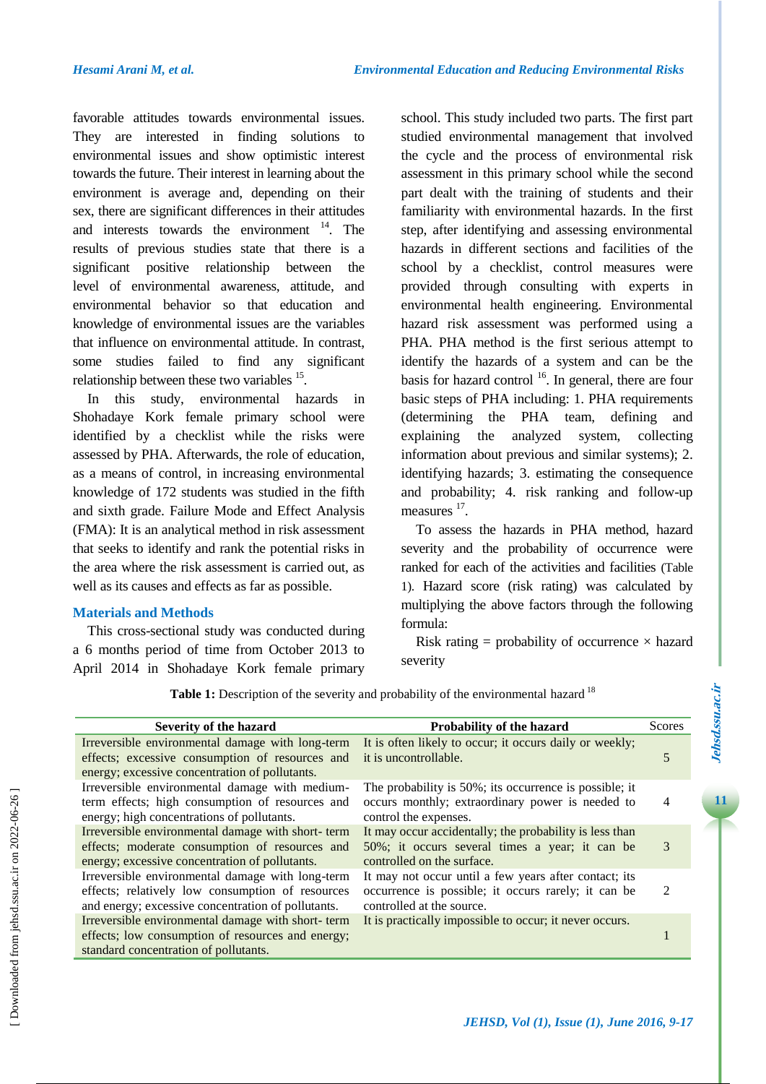favorable attitudes towards environmental issues. They are interested in finding solutions to environmental issues and show optimistic interest towards the future. Their interest in learning about the environment is average and, depending on their sex, there are significant differences in their attitudes and interests towards the environment <sup>14</sup>. The results of previous studies state that there is a significant positive relationship between the level of environmental awareness, attitude, and environmental behavior so that education and knowledge of environmental issues are the variables that influence on environmental attitude. In contrast, some studies failed to find any significant relationship between these two variables  $15$ .

In this study, environmental hazards in Shohadaye Kork female primary school were identified by a checklist while the risks were assessed by PHA. Afterwards, the role of education, as a means of control, in increasing environmental knowledge of 172 students was studied in the fifth and sixth grade. Failure Mode and Effect Analysis (FMA): It is an analytical method in risk assessment that seeks to identify and rank the potential risks in the area where the risk assessment is carried out, as well as its causes and effects as far as possible.

### **Materials and Methods**

This cross-sectional study was conducted during a 6 months period of time from October 2013 to April 2014 in Shohadaye Kork female primary school. This study included two parts. The first part studied environmental management that involved the cycle and the process of environmental risk assessment in this primary school while the second part dealt with the training of students and their familiarity with environmental hazards. In the first step, after identifying and assessing environmental hazards in different sections and facilities of the school by a checklist, control measures were provided through consulting with experts in environmental health engineering. Environmental hazard risk assessment was performed using a PHA. PHA method is the first serious attempt to identify the hazards of a system and can be the basis for hazard control  $16$ . In general, there are four basic steps of PHA including: 1. PHA requirements (determining the PHA team, defining and explaining the analyzed system, collecting information about previous and similar systems); 2. identifying hazards; 3. estimating the consequence and probability; 4. risk ranking and follow-up measures <sup>17</sup>.

To assess the hazards in PHA method, hazard severity and the probability of occurrence were ranked for each of the activities and facilities (Table 1). Hazard score (risk rating) was calculated by multiplying the above factors through the following formula:

Risk rating  $=$  probability of occurrence  $\times$  hazard severity

Table 1: Description of the severity and probability of the environmental hazard <sup>18</sup>

| Severity of the hazard                                                                                                                                     | Probability of the hazard                                                                                                                 | <b>Scores</b>  |
|------------------------------------------------------------------------------------------------------------------------------------------------------------|-------------------------------------------------------------------------------------------------------------------------------------------|----------------|
| Irreversible environmental damage with long-term<br>effects; excessive consumption of resources and<br>energy; excessive concentration of pollutants.      | It is often likely to occur; it occurs daily or weekly;<br>it is uncontrollable.                                                          | 5              |
| Irreversible environmental damage with medium-<br>term effects; high consumption of resources and<br>energy; high concentrations of pollutants.            | The probability is 50%; its occurrence is possible; it<br>occurs monthly; extraordinary power is needed to<br>control the expenses.       | 4              |
| Irreversible environmental damage with short-term<br>effects; moderate consumption of resources and<br>energy; excessive concentration of pollutants.      | It may occur accidentally; the probability is less than<br>50%; it occurs several times a year; it can be<br>controlled on the surface.   | 3              |
| Irreversible environmental damage with long-term<br>effects; relatively low consumption of resources<br>and energy; excessive concentration of pollutants. | It may not occur until a few years after contact; its<br>occurrence is possible; it occurs rarely; it can be<br>controlled at the source. | $\mathfrak{D}$ |
| Irreversible environmental damage with short-term<br>effects; low consumption of resources and energy;<br>standard concentration of pollutants.            | It is practically impossible to occur; it never occurs.                                                                                   |                |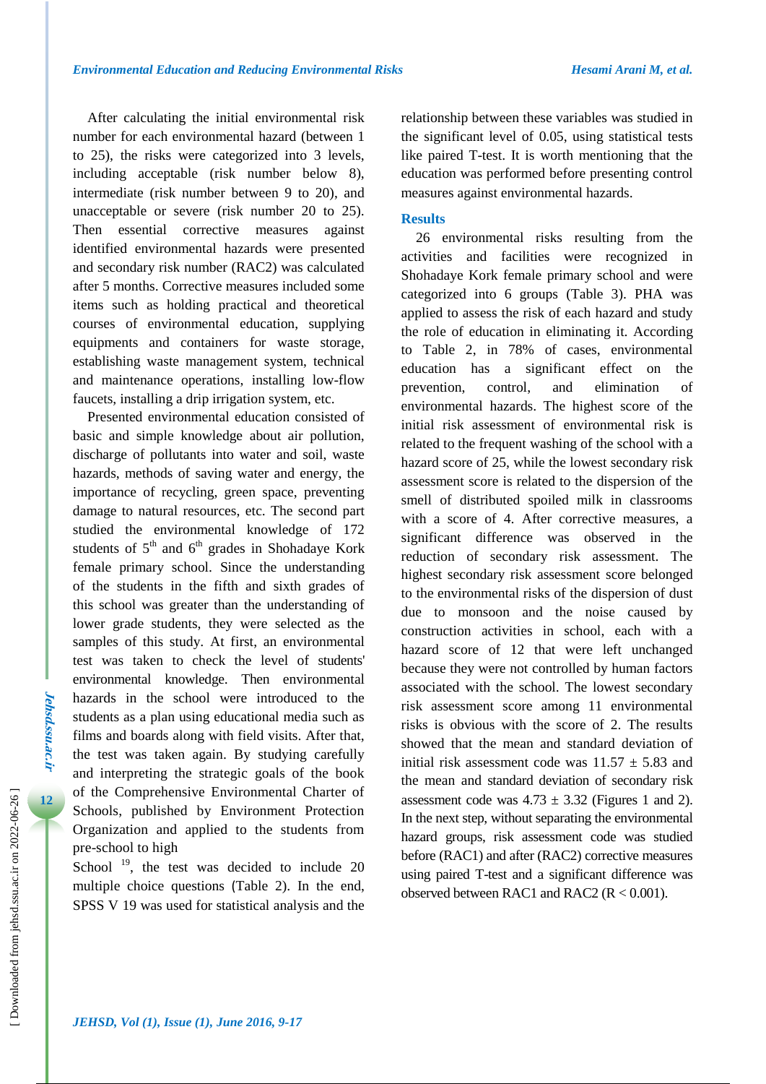After calculating the initial environmental risk number for each environmental hazard (between 1 to 25), the risks were categorized into 3 levels, including acceptable (risk number below 8), intermediate (risk number between 9 to 20), and unacceptable or severe (risk number 20 to 25). Then essential corrective measures against identified environmental hazards were presented and secondary risk number (RAC2) was calculated after 5 months. Corrective measures included some items such as holding practical and theoretical courses of environmental education, supplying equipments and containers for waste storage, establishing waste management system, technical and maintenance operations, installing low-flow faucets, installing a drip irrigation system, etc.

Presented environmental education consisted of basic and simple knowledge about air pollution, discharge of pollutants into water and soil, waste hazards, methods of saving water and energy, the importance of recycling, green space, preventing damage to natural resources, etc. The second part studied the environmental knowledge of 172 students of  $5<sup>th</sup>$  and  $6<sup>th</sup>$  grades in Shohadaye Kork female primary school. Since the understanding of the students in the fifth and sixth grades of this school was greater than the understanding of lower grade students, they were selected as the samples of this study. At first, an environmental test was taken to check the level of students' environmental knowledge. Then environmental hazards in the school were introduced to the students as a plan using educational media such as films and boards along with field visits. After that, the test was taken again. By studying carefully and interpreting the strategic goals of the book of the Comprehensive Environmental Charter of Schools, published by Environment Protection Organization and applied to the students from pre-school to high

School<sup>19</sup>, the test was decided to include 20 multiple choice questions (Table 2). In the end, SPSS V 19 was used for statistical analysis and the relationship between these variables was studied in the significant level of 0.05, using statistical tests like paired T-test. It is worth mentioning that the education was performed before presenting control measures against environmental hazards.

# **Results**

26 environmental risks resulting from the activities and facilities were recognized in Shohadaye Kork female primary school and were categorized into 6 groups (Table 3). PHA was applied to assess the risk of each hazard and study the role of education in eliminating it. According to Table 2, in 78% of cases, environmental education has a significant effect on the prevention, control, and elimination of environmental hazards. The highest score of the initial risk assessment of environmental risk is related to the frequent washing of the school with a hazard score of 25, while the lowest secondary risk assessment score is related to the dispersion of the smell of distributed spoiled milk in classrooms with a score of 4. After corrective measures, a significant difference was observed in the reduction of secondary risk assessment. The highest secondary risk assessment score belonged to the environmental risks of the dispersion of dust due to monsoon and the noise caused by construction activities in school, each with a hazard score of 12 that were left unchanged because they were not controlled by human factors associated with the school. The lowest secondary risk assessment score among 11 environmental risks is obvious with the score of 2. The results showed that the mean and standard deviation of initial risk assessment code was  $11.57 \pm 5.83$  and the mean and standard deviation of secondary risk assessment code was  $4.73 \pm 3.32$  (Figures 1 and 2). In the next step, without separating the environmental hazard groups, risk assessment code was studied before (RAC1) and after (RAC2) corrective measures using paired T-test and a significant difference was observed between RAC1 and RAC2 (R < 0.001).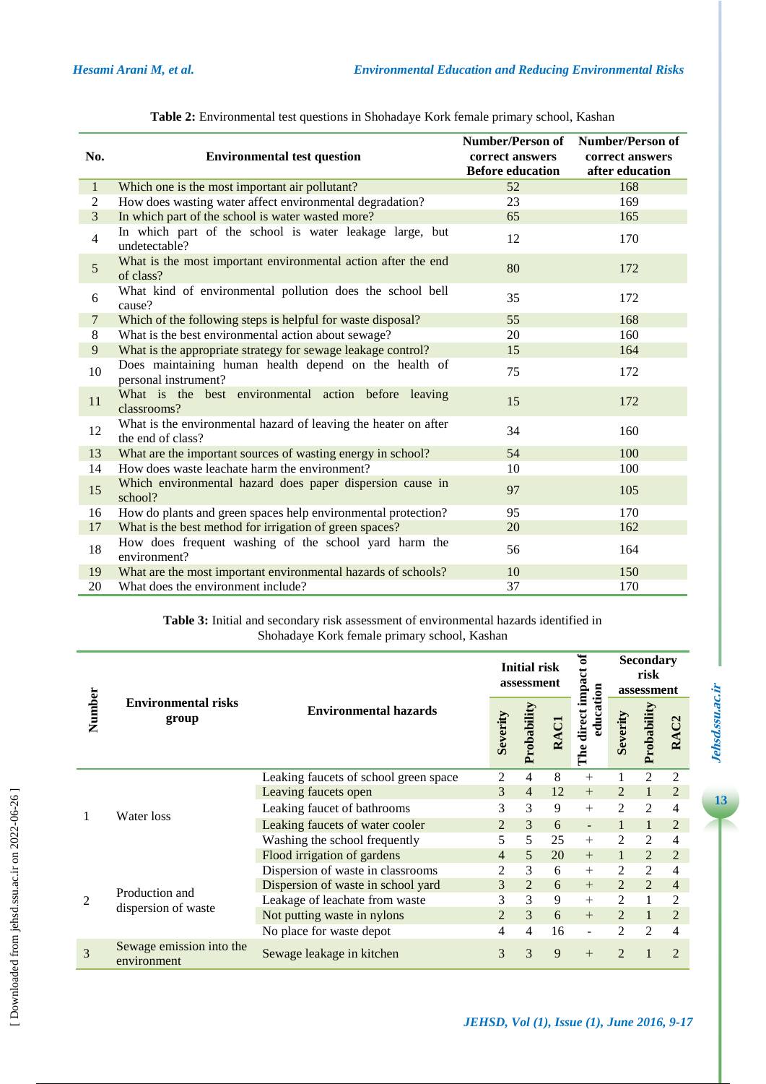| No.            | <b>Environmental test question</b>                                                   | Number/Person of Number/Person of<br>correct answers<br><b>Before education</b> | correct answers<br>after education |
|----------------|--------------------------------------------------------------------------------------|---------------------------------------------------------------------------------|------------------------------------|
| $\mathbf{1}$   | Which one is the most important air pollutant?                                       | 52                                                                              | 168                                |
| 2              | How does wasting water affect environmental degradation?                             | 23                                                                              | 169                                |
| $\overline{3}$ | In which part of the school is water wasted more?                                    | 65                                                                              | 165                                |
| $\overline{4}$ | In which part of the school is water leakage large, but<br>undetectable?             | 12                                                                              | 170                                |
| 5              | What is the most important environmental action after the end<br>of class?           | 80                                                                              | 172                                |
| 6              | What kind of environmental pollution does the school bell<br>cause?                  | 35                                                                              | 172                                |
| $\tau$         | Which of the following steps is helpful for waste disposal?                          | 55                                                                              | 168                                |
| 8              | What is the best environmental action about sewage?                                  | 20                                                                              | 160                                |
| 9              | What is the appropriate strategy for sewage leakage control?                         | 15                                                                              | 164                                |
| 10             | Does maintaining human health depend on the health of<br>personal instrument?        | 75                                                                              | 172                                |
| 11             | What is the best environmental action before leaving<br>classrooms?                  | 15                                                                              | 172                                |
| 12             | What is the environmental hazard of leaving the heater on after<br>the end of class? | 34                                                                              | 160                                |
| 13             | What are the important sources of wasting energy in school?                          | 54                                                                              | 100                                |
| 14             | How does waste leachate harm the environment?                                        | 10                                                                              | 100                                |
| 15             | Which environmental hazard does paper dispersion cause in<br>school?                 | 97                                                                              | 105                                |
| 16             | How do plants and green spaces help environmental protection?                        | 95                                                                              | 170                                |
| 17             | What is the best method for irrigation of green spaces?                              | 20                                                                              | 162                                |
| 18             | How does frequent washing of the school yard harm the<br>environment?                | 56                                                                              | 164                                |
| 19             | What are the most important environmental hazards of schools?                        | 10                                                                              | 150                                |
| 20             | What does the environment include?                                                   | 37                                                                              | 170                                |

|  | Table 2: Environmental test questions in Shohadaye Kork female primary school, Kashan |  |
|--|---------------------------------------------------------------------------------------|--|
|  |                                                                                       |  |

**Table 3:** Initial and secondary risk assessment of environmental hazards identified in Shohadaye Kork female primary school, Kashan

|                |                                         |                                       |                | <b>Initial risk</b><br>assessment |    | ಕ                             | <b>Secondary</b><br>risk<br>assessment |                |                |
|----------------|-----------------------------------------|---------------------------------------|----------------|-----------------------------------|----|-------------------------------|----------------------------------------|----------------|----------------|
| Number         | <b>Environmental risks</b><br>group     | <b>Environmental hazards</b>          | Severity       | Probability                       |    | The direct impac<br>education | Severity                               | Probability    | RAC            |
|                | Water loss                              | Leaking faucets of school green space | 2              | 4                                 | 8  | $^{+}$                        |                                        | 2              | 2              |
|                |                                         | Leaving faucets open                  | 3              | 4                                 | 12 | $+$                           | 2                                      |                | $\overline{2}$ |
|                |                                         | Leaking faucet of bathrooms           | 3              | 3                                 | 9  | $+$                           | 2                                      | 2              | 4              |
|                |                                         | Leaking faucets of water cooler       | $\overline{2}$ | 3                                 | 6  | $\overline{\phantom{a}}$      |                                        |                | $\overline{2}$ |
|                |                                         | Washing the school frequently         | 5              | 5                                 | 25 | $^{+}$                        | 2                                      | 2              | 4              |
|                |                                         | Flood irrigation of gardens           | $\overline{4}$ | 5                                 | 20 | $+$                           |                                        | 2              | $\overline{2}$ |
|                | Production and                          | Dispersion of waste in classrooms     | 2              | 3                                 | 6  | $^{+}$                        | 2                                      | 2              | $\overline{4}$ |
| $\overline{c}$ |                                         | Dispersion of waste in school yard    | 3              | 2                                 | 6  | $+$                           | $\overline{2}$                         | $\overline{2}$ | $\overline{4}$ |
|                |                                         | Leakage of leachate from waste        | 3              | 3                                 | 9  | $+$                           | $\overline{c}$                         |                | $\overline{2}$ |
|                | dispersion of waste                     | Not putting waste in nylons           | $\mathfrak{D}$ | 3                                 | 6  | $+$                           | $\overline{2}$                         |                | $\overline{2}$ |
|                |                                         | No place for waste depot              | 4              | 4                                 | 16 | $\overline{\phantom{a}}$      | $\overline{c}$                         | $\mathfrak{D}$ | 4              |
| 3              | Sewage emission into the<br>environment | Sewage leakage in kitchen             | 3              | 3                                 | 9  | $+$                           | $\overline{2}$                         |                | $\overline{2}$ |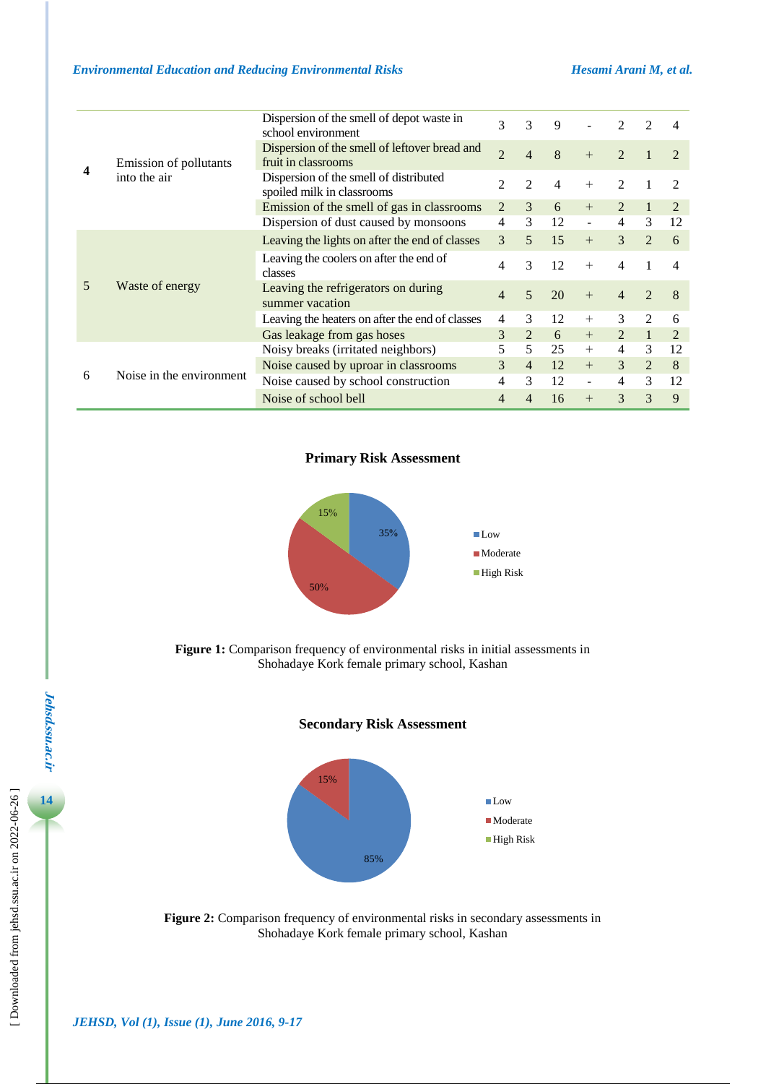|   |                                        | Dispersion of the smell of depot waste in<br>school environment      | 3              | 3              | 9  |                          | $\mathcal{D}$  | 2              |                             |
|---|----------------------------------------|----------------------------------------------------------------------|----------------|----------------|----|--------------------------|----------------|----------------|-----------------------------|
|   | Emission of pollutants<br>into the air | Dispersion of the smell of leftover bread and<br>fruit in classrooms | $\overline{2}$ | 4              | 8  | $+$                      | $\mathfrak{D}$ |                | $\mathcal{D}_{\mathcal{L}}$ |
|   |                                        | Dispersion of the smell of distributed<br>spoiled milk in classrooms | 2              | $\mathfrak{D}$ | 4  | $+$                      | 2              |                | $\mathcal{D}_{\mathcal{L}}$ |
|   |                                        | Emission of the smell of gas in classrooms                           | 2              | 3              | 6  | $^{+}$                   | 2              |                | 2                           |
|   |                                        | Dispersion of dust caused by monsoons                                | 4              | 3              | 12 | $\overline{\phantom{a}}$ | $\overline{4}$ | 3              | 12                          |
|   | Waste of energy                        | Leaving the lights on after the end of classes                       | 3              | 5              | 15 | $+$                      | $\mathcal{E}$  | $\mathfrak{D}$ | 6                           |
|   |                                        | Leaving the coolers on after the end of<br>classes                   | 4              | 3              | 12 | $+$                      | 4              |                | 4                           |
|   |                                        | Leaving the refrigerators on during<br>summer vacation               | 4              | 5              | 20 | $+$                      | $\overline{4}$ | $\mathfrak{D}$ | 8                           |
|   |                                        | Leaving the heaters on after the end of classes                      | 4              | 3              | 12 | $^{+}$                   | 3              | 2              | 6                           |
|   |                                        | Gas leakage from gas hoses                                           | 3              | 2              | 6  | $+$                      | 2              | $\mathbf{1}$   | 2                           |
| 6 | Noise in the environment               | Noisy breaks (irritated neighbors)                                   | 5              | 5              | 25 | $^{+}$                   | $\overline{4}$ | 3              | 12                          |
|   |                                        | Noise caused by uproar in classrooms                                 | 3              | $\overline{4}$ | 12 | $+$                      | 3              | $\overline{2}$ | 8                           |
|   |                                        | Noise caused by school construction                                  | 4              | 3              | 12 | $\blacksquare$           | $\overline{4}$ | 3              | 12                          |
|   |                                        | Noise of school bell                                                 | 4              | 4              | 16 | $^{+}$                   | 3              | 3              | 9                           |

**Primary Risk Assessment** 



**Figure 1:** Comparison frequency of environmental risks in initial assessments in Shohadaye Kork female primary school, Kashan





**Figure 2:** Comparison frequency of environmental risks in secondary assessments in Shohadaye Kork female primary school, Kashan

**14**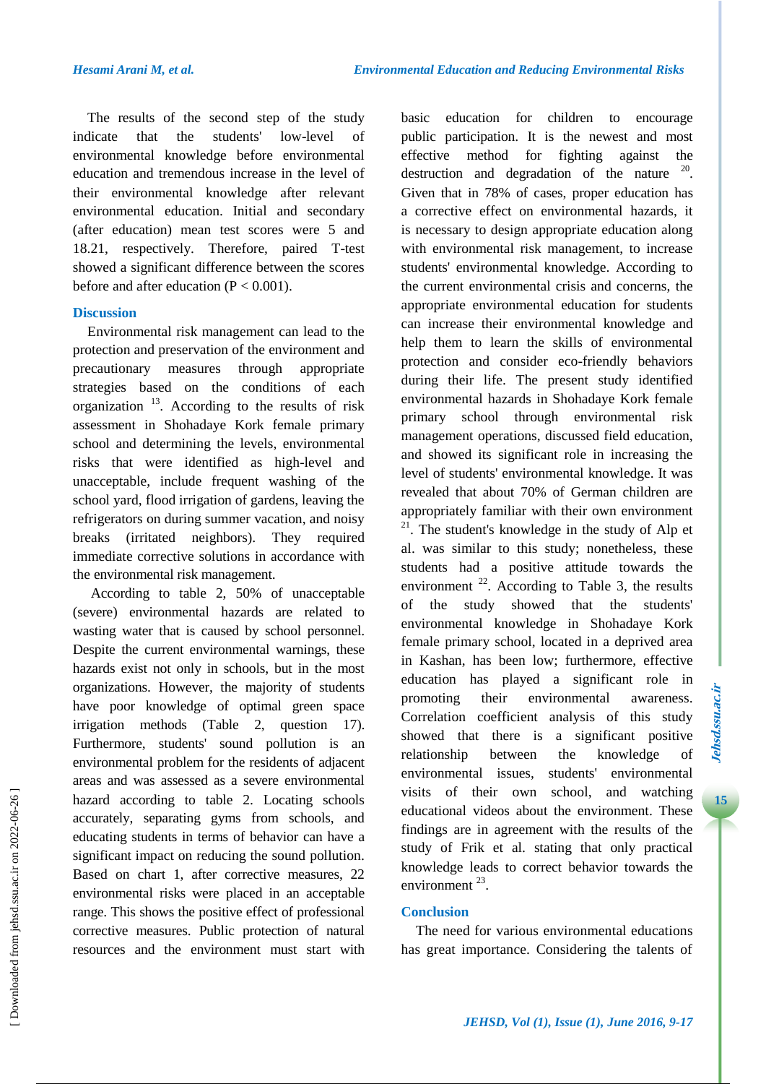The results of the second step of the study indicate that the students' low-level of environmental knowledge before environmental education and tremendous increase in the level of their environmental knowledge after relevant environmental education. Initial and secondary (after education) mean test scores were 5 and 18.21, respectively. Therefore, paired T-test showed a significant difference between the scores before and after education  $(P < 0.001)$ .

# **Discussion**

Environmental risk management can lead to the protection and preservation of the environment and precautionary measures through appropriate strategies based on the conditions of each organization  $13$ . According to the results of risk assessment in Shohadaye Kork female primary school and determining the levels, environmental risks that were identified as high-level and unacceptable, include frequent washing of the school yard, flood irrigation of gardens, leaving the refrigerators on during summer vacation, and noisy breaks (irritated neighbors). They required immediate corrective solutions in accordance with the environmental risk management.

According to table 2, 50% of unacceptable (severe) environmental hazards are related to wasting water that is caused by school personnel. Despite the current environmental warnings, these hazards exist not only in schools, but in the most organizations. However, the majority of students have poor knowledge of optimal green space irrigation methods (Table 2, question 17). Furthermore, students' sound pollution is an environmental problem for the residents of adjacent areas and was assessed as a severe environmental hazard according to table 2. Locating schools accurately, separating gyms from schools, and educating students in terms of behavior can have a significant impact on reducing the sound pollution. Based on chart 1, after corrective measures, 22 environmental risks were placed in an acceptable range. This shows the positive effect of professional corrective measures. Public protection of natural resources and the environment must start with

basic education for children to encourage public participation. It is the newest and most effective method for fighting against the destruction and degradation of the nature  $20$ . Given that in 78% of cases, proper education has a corrective effect on environmental hazards, it is necessary to design appropriate education along with environmental risk management, to increase students' environmental knowledge. According to the current environmental crisis and concerns, the appropriate environmental education for students can increase their environmental knowledge and help them to learn the skills of environmental protection and consider eco-friendly behaviors during their life. The present study identified environmental hazards in Shohadaye Kork female primary school through environmental risk management operations, discussed field education, and showed its significant role in increasing the level of students' environmental knowledge. It was revealed that about 70% of German children are appropriately familiar with their own environment  $21$ . The student's knowledge in the study of Alp et al. was similar to this study; nonetheless, these students had a positive attitude towards the environment  $^{22}$ . According to Table 3, the results of the study showed that the students' environmental knowledge in Shohadaye Kork female primary school, located in a deprived area in Kashan, has been low; furthermore, effective education has played a significant role in promoting their environmental awareness. Correlation coefficient analysis of this study showed that there is a significant positive relationship between the knowledge of environmental issues, students' environmental visits of their own school, and watching educational videos about the environment. These findings are in agreement with the results of the study of Frik et al. stating that only practical knowledge leads to correct behavior towards the environment  $^{23}$ .

# **Conclusion**

The need for various environmental educations has great importance. Considering the talents of 15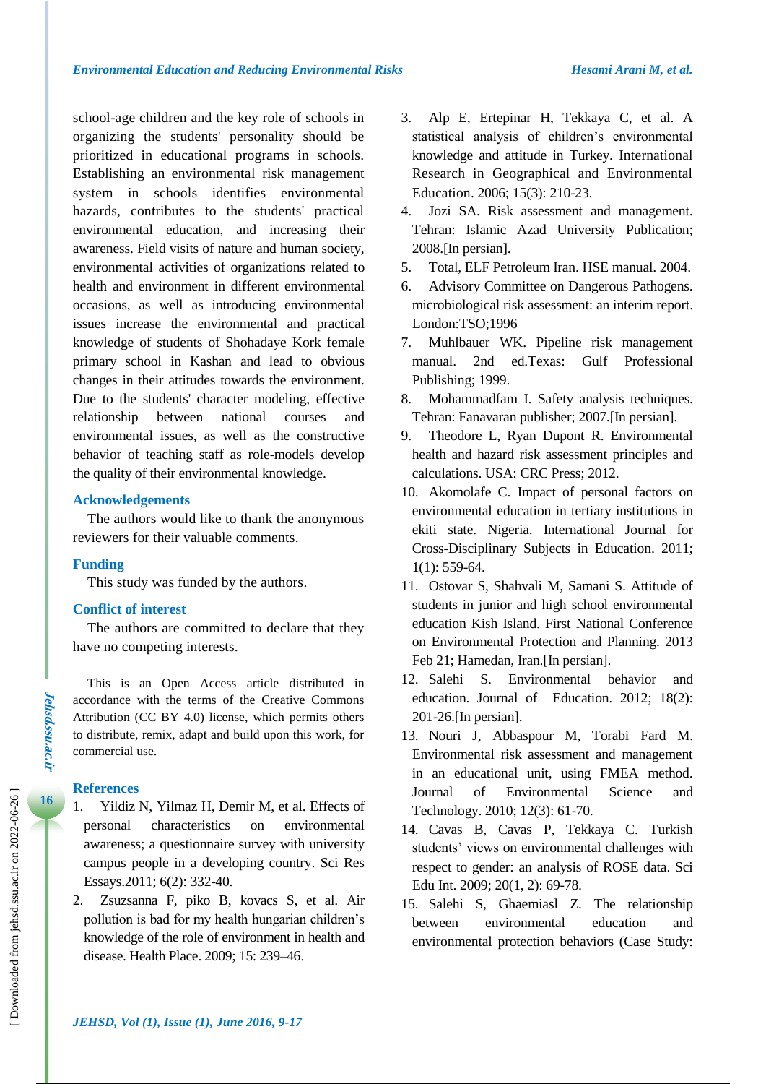school-age children and the key role of schools in organizing the students' personality should be prioritized in educational programs in schools. Establishing an environmental risk management system in schools identifies environmental hazards, contributes to the students' practical environmental education, and increasing their awareness. Field visits of nature and human society, environmental activities of organizations related to health and environment in different environmental occasions, as well as introducing environmental issues increase the environmental and practical knowledge of students of Shohadaye Kork female primary school in Kashan and lead to obvious changes in their attitudes towards the environment. Due to the students' character modeling, effective relationship between national courses and environmental issues, as well as the constructive behavior of teaching staff as role-models develop the quality of their environmental knowledge.

# **Acknowledgements**

The authors would like to thank the anonymous reviewers for their valuable comments.

#### **Funding**

This study was funded by the authors.

#### **Conflict of interest**

The authors are committed to declare that they have no competing interests.

This is an Open Access article distributed in accordance with the terms of the Creative Commons Attribution (CC BY 4.0) license, which permits others to distribute, remix, adapt and build upon this work, for commercial use.

#### **References**

- 1. Yildiz N, Yilmaz H, Demir M, et al. Effects of personal characteristics on environmental awareness; a questionnaire survey with university campus people in a developing country. Sci Res Essays.2011; 6(2): 332-40.
- 2. Zsuzsanna F, piko B, kovacs S, et al. Air pollution is bad for my health hungarian children's knowledge of the role of environment in health and disease. Health Place. 2009; 15: 239–46.
- 3. Alp E, Ertepinar H, Tekkaya C, et al. A statistical analysis of children's environmental knowledge and attitude in Turkey. International Research in Geographical and Environmental Education. 2006; 15(3): 210-23.
- 4. Jozi SA. Risk assessment and management. Tehran: Islamic Azad University Publication; 2008.[In persian].
- 5. Total, ELF Petroleum Iran. HSE manual. 2004.
- 6. Advisory Committee on Dangerous Pathogens. microbiological risk assessment: an interim report. London:TSO;1996
- 7. Muhlbauer WK. Pipeline risk management manual. 2nd ed.Texas: Gulf Professional Publishing; 1999.
- 8. Mohammadfam I. Safety analysis techniques. Tehran: Fanavaran publisher; 2007.[In persian].
- 9. Theodore L, Ryan Dupont R. Environmental health and hazard risk assessment principles and calculations. USA: CRC Press; 2012.
- 10. Akomolafe C. Impact of personal factors on environmental education in tertiary institutions in ekiti state. Nigeria. International Journal for Cross-Disciplinary Subjects in Education. 2011; 1(1): 559-64.
- 11. Ostovar S, Shahvali M, Samani S. Attitude of students in junior and high school environmental education Kish Island. First National Conference on Environmental Protection and Planning. 2013 Feb 21; Hamedan, Iran.[In persian].
- 12. Salehi S. Environmental behavior and education. Journal of Education. 2012; 18(2): 201-26.[In persian].
- 13. Nouri J, Abbaspour M, Torabi Fard M. Environmental risk assessment and management in an educational unit, using FMEA method. Journal of Environmental Science and Technology. 2010; 12(3): 61-70.
- 14. Cavas B, Cavas P, Tekkaya C. Turkish students' views on environmental challenges with respect to gender: an analysis of ROSE data. Sci Edu Int. 2009; 20(1, 2): 69-78.
- 15. Salehi S, Ghaemiasl Z. The relationship between environmental education and environmental protection behaviors (Case Study: